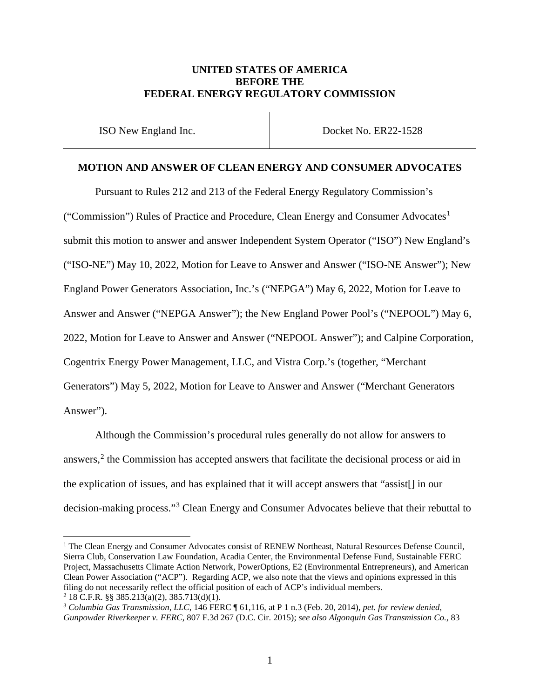## **UNITED STATES OF AMERICA BEFORE THE FEDERAL ENERGY REGULATORY COMMISSION**

ISO New England Inc. Docket No. ER22-1528

### **MOTION AND ANSWER OF CLEAN ENERGY AND CONSUMER ADVOCATES**

Pursuant to Rules 212 and 213 of the Federal Energy Regulatory Commission's ("Commission") Rules of Practice and Procedure, Clean Energy and Consumer Advocates<sup>[1](#page-0-0)</sup> submit this motion to answer and answer Independent System Operator ("ISO") New England's ("ISO-NE") May 10, 2022, Motion for Leave to Answer and Answer ("ISO-NE Answer"); New England Power Generators Association, Inc.'s ("NEPGA") May 6, 2022, Motion for Leave to Answer and Answer ("NEPGA Answer"); the New England Power Pool's ("NEPOOL") May 6, 2022, Motion for Leave to Answer and Answer ("NEPOOL Answer"); and Calpine Corporation, Cogentrix Energy Power Management, LLC, and Vistra Corp.'s (together, "Merchant Generators") May 5, 2022, Motion for Leave to Answer and Answer ("Merchant Generators Answer").

Although the Commission's procedural rules generally do not allow for answers to answers, $<sup>2</sup>$  $<sup>2</sup>$  $<sup>2</sup>$  the Commission has accepted answers that facilitate the decisional process or aid in</sup> the explication of issues, and has explained that it will accept answers that "assist[] in our decision-making process."[3](#page-0-2) Clean Energy and Consumer Advocates believe that their rebuttal to

<span id="page-0-0"></span><sup>&</sup>lt;sup>1</sup> The Clean Energy and Consumer Advocates consist of RENEW Northeast, Natural Resources Defense Council, Sierra Club, Conservation Law Foundation, Acadia Center, the Environmental Defense Fund, Sustainable FERC Project, Massachusetts Climate Action Network, PowerOptions, E2 (Environmental Entrepreneurs), and American Clean Power Association ("ACP"). Regarding ACP, we also note that the views and opinions expressed in this filing do not necessarily reflect the official position of each of ACP's individual members. <sup>2</sup> 18 C.F.R. §§ 385.213(a)(2), 385.713(d)(1).

<span id="page-0-2"></span><span id="page-0-1"></span><sup>3</sup> *Columbia Gas Transmission*, *LLC*, 146 FERC ¶ 61,116, at P 1 n.3 (Feb. 20, 2014), *pet. for review denied*, *Gunpowder Riverkeeper v. FERC*, 807 F.3d 267 (D.C. Cir. 2015); *see also Algonquin Gas Transmission Co.*, 83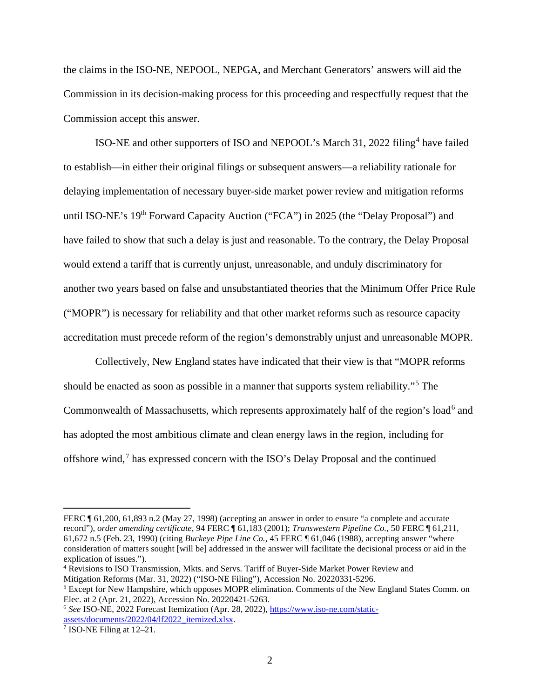the claims in the ISO-NE, NEPOOL, NEPGA, and Merchant Generators' answers will aid the Commission in its decision-making process for this proceeding and respectfully request that the Commission accept this answer.

ISO-NE and other supporters of ISO and NEPOOL's March 31, 2022 filing<sup>[4](#page-1-0)</sup> have failed to establish—in either their original filings or subsequent answers—a reliability rationale for delaying implementation of necessary buyer-side market power review and mitigation reforms until ISO-NE's 19<sup>th</sup> Forward Capacity Auction ("FCA") in 2025 (the "Delay Proposal") and have failed to show that such a delay is just and reasonable. To the contrary, the Delay Proposal would extend a tariff that is currently unjust, unreasonable, and unduly discriminatory for another two years based on false and unsubstantiated theories that the Minimum Offer Price Rule ("MOPR") is necessary for reliability and that other market reforms such as resource capacity accreditation must precede reform of the region's demonstrably unjust and unreasonable MOPR.

Collectively, New England states have indicated that their view is that "MOPR reforms should be enacted as soon as possible in a manner that supports system reliability."[5](#page-1-1) The Commonwealth of Massachusetts, which represents approximately half of the region's load<sup>[6](#page-1-2)</sup> and has adopted the most ambitious climate and clean energy laws in the region, including for offshore wind,[7](#page-1-3) has expressed concern with the ISO's Delay Proposal and the continued

FERC ¶ 61,200, 61,893 n.2 (May 27, 1998) (accepting an answer in order to ensure "a complete and accurate record"), *order amending certificate*, 94 FERC ¶ 61,183 (2001); *Transwestern Pipeline Co.*, 50 FERC ¶ 61,211, 61,672 n.5 (Feb. 23, 1990) (citing *Buckeye Pipe Line Co.*, 45 FERC ¶ 61,046 (1988), accepting answer "where consideration of matters sought [will be] addressed in the answer will facilitate the decisional process or aid in the explication of issues.").

<span id="page-1-0"></span><sup>4</sup> Revisions to ISO Transmission, Mkts. and Servs. Tariff of Buyer-Side Market Power Review and Mitigation Reforms (Mar. 31, 2022) ("ISO-NE Filing"), Accession No. 20220331-5296.

<span id="page-1-1"></span><sup>5</sup> Except for New Hampshire, which opposes MOPR elimination. Comments of the New England States Comm. on Elec. at 2 (Apr. 21, 2022), Accession No. 20220421-5263.

<span id="page-1-2"></span><sup>6</sup> *See* ISO-NE, 2022 Forecast Itemization (Apr. 28, 2022), [https://www.iso-ne.com/static](https://www.iso-ne.com/static-assets/documents/2022/04/lf2022_itemized.xlsx)[assets/documents/2022/04/lf2022\\_itemized.xlsx.](https://www.iso-ne.com/static-assets/documents/2022/04/lf2022_itemized.xlsx)

<span id="page-1-3"></span><sup>7</sup> ISO-NE Filing at 12–21.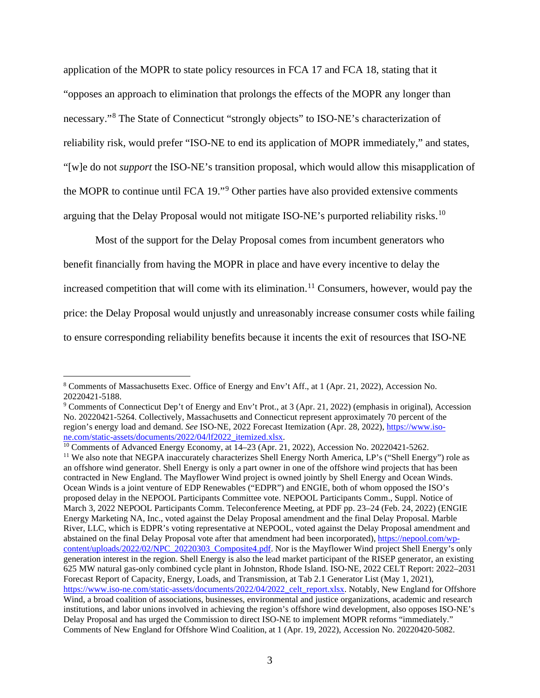application of the MOPR to state policy resources in FCA 17 and FCA 18, stating that it "opposes an approach to elimination that prolongs the effects of the MOPR any longer than necessary."[8](#page-2-0) The State of Connecticut "strongly objects" to ISO-NE's characterization of reliability risk, would prefer "ISO-NE to end its application of MOPR immediately," and states, "[w]e do not *support* the ISO-NE's transition proposal, which would allow this misapplication of the MOPR to continue until FCA 19."[9](#page-2-1) Other parties have also provided extensive comments arguing that the Delay Proposal would not mitigate ISO-NE's purported reliability risks.<sup>[10](#page-2-2)</sup>

Most of the support for the Delay Proposal comes from incumbent generators who benefit financially from having the MOPR in place and have every incentive to delay the increased competition that will come with its elimination.<sup>[11](#page-2-3)</sup> Consumers, however, would pay the price: the Delay Proposal would unjustly and unreasonably increase consumer costs while failing to ensure corresponding reliability benefits because it incents the exit of resources that ISO-NE

<span id="page-2-2"></span><sup>10</sup> Comments of Advanced Energy Economy, at 14–23 (Apr. 21, 2022), Accession No. 20220421-5262.

<span id="page-2-0"></span><sup>8</sup> Comments of Massachusetts Exec. Office of Energy and Env't Aff., at 1 (Apr. 21, 2022), Accession No. 20220421-5188.

<span id="page-2-1"></span><sup>&</sup>lt;sup>9</sup> Comments of Connecticut Dep't of Energy and Env't Prot., at 3 (Apr. 21, 2022) (emphasis in original), Accession No. 20220421-5264. Collectively, Massachusetts and Connecticut represent approximately 70 percent of the region's energy load and demand. *See* ISO-NE, 2022 Forecast Itemization (Apr. 28, 2022)[, https://www.iso](https://www.iso-ne.com/static-assets/documents/2022/04/lf2022_itemized.xlsx)[ne.com/static-assets/documents/2022/04/lf2022\\_itemized.xlsx.](https://www.iso-ne.com/static-assets/documents/2022/04/lf2022_itemized.xlsx)

<span id="page-2-3"></span><sup>11</sup> We also note that NEGPA inaccurately characterizes Shell Energy North America, LP's ("Shell Energy") role as an offshore wind generator. Shell Energy is only a part owner in one of the offshore wind projects that has been contracted in New England. The Mayflower Wind project is owned jointly by Shell Energy and Ocean Winds. Ocean Winds is a joint venture of EDP Renewables ("EDPR") and ENGIE, both of whom opposed the ISO's proposed delay in the NEPOOL Participants Committee vote. NEPOOL Participants Comm., Suppl. Notice of March 3, 2022 NEPOOL Participants Comm. Teleconference Meeting, at PDF pp. 23–24 (Feb. 24, 2022) (ENGIE Energy Marketing NA, Inc., voted against the Delay Proposal amendment and the final Delay Proposal. Marble River, LLC, which is EDPR's voting representative at NEPOOL, voted against the Delay Proposal amendment and abstained on the final Delay Proposal vote after that amendment had been incorporated)[, https://nepool.com/wp](https://nepool.com/wp-content/uploads/2022/02/NPC_20220303_Composite4.pdf)[content/uploads/2022/02/NPC\\_20220303\\_Composite4.pdf.](https://nepool.com/wp-content/uploads/2022/02/NPC_20220303_Composite4.pdf) Nor is the Mayflower Wind project Shell Energy's only generation interest in the region. Shell Energy is also the lead market participant of the RISEP generator, an existing 625 MW natural gas-only combined cycle plant in Johnston, Rhode Island. ISO-NE, 2022 CELT Report: 2022–2031 Forecast Report of Capacity, Energy, Loads, and Transmission, at Tab 2.1 Generator List (May 1, 2021), [https://www.iso-ne.com/static-assets/documents/2022/04/2022\\_celt\\_report.xlsx.](https://www.iso-ne.com/static-assets/documents/2022/04/2022_celt_report.xlsx) Notably, New England for Offshore Wind, a broad coalition of associations, businesses, environmental and justice organizations, academic and research institutions, and labor unions involved in achieving the region's offshore wind development, also opposes ISO-NE's Delay Proposal and has urged the Commission to direct ISO-NE to implement MOPR reforms "immediately." Comments of New England for Offshore Wind Coalition, at 1 (Apr. 19, 2022), Accession No. 20220420-5082.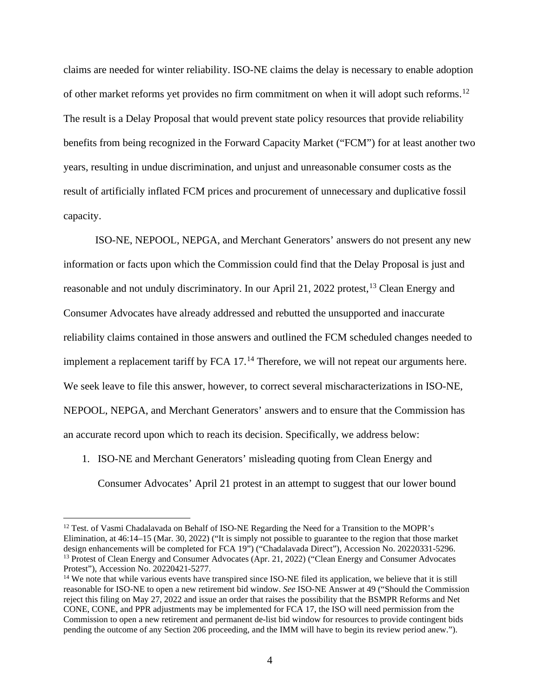claims are needed for winter reliability. ISO-NE claims the delay is necessary to enable adoption of other market reforms yet provides no firm commitment on when it will adopt such reforms.<sup>[12](#page-3-0)</sup> The result is a Delay Proposal that would prevent state policy resources that provide reliability benefits from being recognized in the Forward Capacity Market ("FCM") for at least another two years, resulting in undue discrimination, and unjust and unreasonable consumer costs as the result of artificially inflated FCM prices and procurement of unnecessary and duplicative fossil capacity.

ISO-NE, NEPOOL, NEPGA, and Merchant Generators' answers do not present any new information or facts upon which the Commission could find that the Delay Proposal is just and reasonable and not unduly discriminatory. In our April 21, 2022 protest, <sup>[13](#page-3-1)</sup> Clean Energy and Consumer Advocates have already addressed and rebutted the unsupported and inaccurate reliability claims contained in those answers and outlined the FCM scheduled changes needed to implement a replacement tariff by FCA 17.<sup>[14](#page-3-2)</sup> Therefore, we will not repeat our arguments here. We seek leave to file this answer, however, to correct several mischaracterizations in ISO-NE, NEPOOL, NEPGA, and Merchant Generators' answers and to ensure that the Commission has an accurate record upon which to reach its decision. Specifically, we address below:

1. ISO-NE and Merchant Generators' misleading quoting from Clean Energy and

Consumer Advocates' April 21 protest in an attempt to suggest that our lower bound

<span id="page-3-0"></span><sup>&</sup>lt;sup>12</sup> Test. of Vasmi Chadalavada on Behalf of ISO-NE Regarding the Need for a Transition to the MOPR's Elimination, at 46:14–15 (Mar. 30, 2022) ("It is simply not possible to guarantee to the region that those market design enhancements will be completed for FCA 19") ("Chadalavada Direct"), Accession No. 20220331-5296. <sup>13</sup> Protest of Clean Energy and Consumer Advocates (Apr. 21, 2022) ("Clean Energy and Consumer Advocates") Protest"), Accession No. 20220421-5277.

<span id="page-3-2"></span><span id="page-3-1"></span><sup>&</sup>lt;sup>14</sup> We note that while various events have transpired since ISO-NE filed its application, we believe that it is still reasonable for ISO-NE to open a new retirement bid window. *See* ISO-NE Answer at 49 ("Should the Commission reject this filing on May 27, 2022 and issue an order that raises the possibility that the BSMPR Reforms and Net CONE, CONE, and PPR adjustments may be implemented for FCA 17, the ISO will need permission from the Commission to open a new retirement and permanent de-list bid window for resources to provide contingent bids pending the outcome of any Section 206 proceeding, and the IMM will have to begin its review period anew.").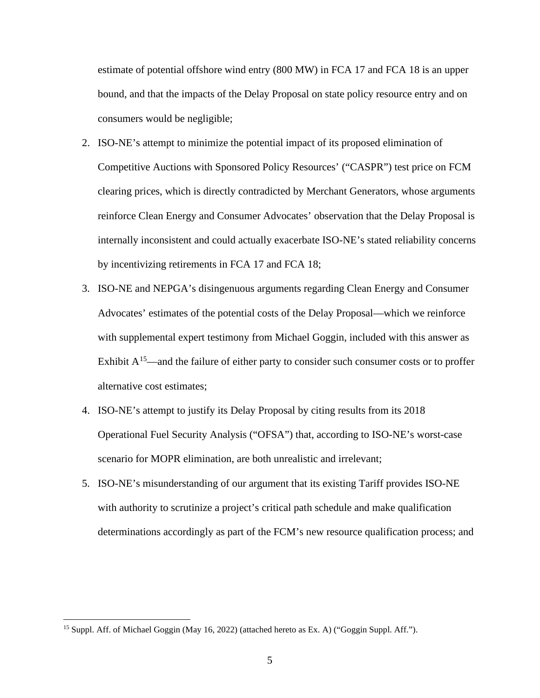estimate of potential offshore wind entry (800 MW) in FCA 17 and FCA 18 is an upper bound, and that the impacts of the Delay Proposal on state policy resource entry and on consumers would be negligible;

- 2. ISO-NE's attempt to minimize the potential impact of its proposed elimination of Competitive Auctions with Sponsored Policy Resources' ("CASPR") test price on FCM clearing prices, which is directly contradicted by Merchant Generators, whose arguments reinforce Clean Energy and Consumer Advocates' observation that the Delay Proposal is internally inconsistent and could actually exacerbate ISO-NE's stated reliability concerns by incentivizing retirements in FCA 17 and FCA 18;
- 3. ISO-NE and NEPGA's disingenuous arguments regarding Clean Energy and Consumer Advocates' estimates of the potential costs of the Delay Proposal—which we reinforce with supplemental expert testimony from Michael Goggin, included with this answer as Exhibit  $A<sup>15</sup>$ —and the failure of either party to consider such consumer costs or to proffer alternative cost estimates;
- 4. ISO-NE's attempt to justify its Delay Proposal by citing results from its 2018 Operational Fuel Security Analysis ("OFSA") that, according to ISO-NE's worst-case scenario for MOPR elimination, are both unrealistic and irrelevant;
- 5. ISO-NE's misunderstanding of our argument that its existing Tariff provides ISO-NE with authority to scrutinize a project's critical path schedule and make qualification determinations accordingly as part of the FCM's new resource qualification process; and

<span id="page-4-0"></span><sup>&</sup>lt;sup>15</sup> Suppl. Aff. of Michael Goggin (May 16, 2022) (attached hereto as Ex. A) ("Goggin Suppl. Aff.").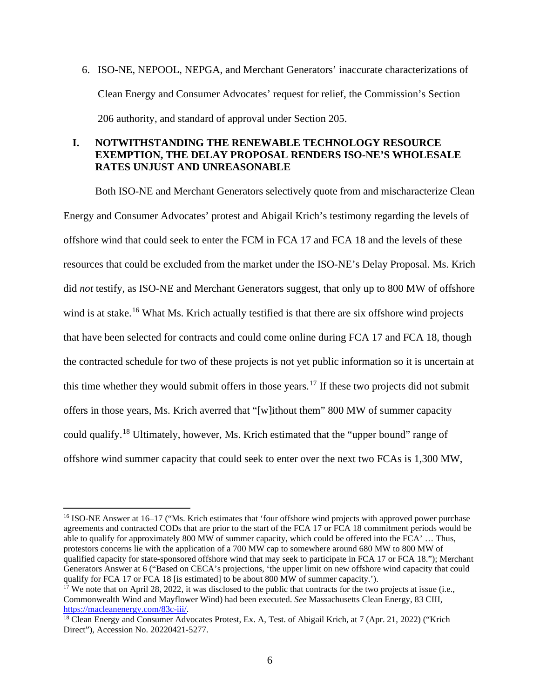6. ISO-NE, NEPOOL, NEPGA, and Merchant Generators' inaccurate characterizations of Clean Energy and Consumer Advocates' request for relief, the Commission's Section 206 authority, and standard of approval under Section 205.

# **I. NOTWITHSTANDING THE RENEWABLE TECHNOLOGY RESOURCE EXEMPTION, THE DELAY PROPOSAL RENDERS ISO-NE'S WHOLESALE RATES UNJUST AND UNREASONABLE**

Both ISO-NE and Merchant Generators selectively quote from and mischaracterize Clean Energy and Consumer Advocates' protest and Abigail Krich's testimony regarding the levels of offshore wind that could seek to enter the FCM in FCA 17 and FCA 18 and the levels of these resources that could be excluded from the market under the ISO-NE's Delay Proposal. Ms. Krich did *not* testify, as ISO-NE and Merchant Generators suggest, that only up to 800 MW of offshore wind is at stake.<sup>[16](#page-5-0)</sup> What Ms. Krich actually testified is that there are six offshore wind projects that have been selected for contracts and could come online during FCA 17 and FCA 18, though the contracted schedule for two of these projects is not yet public information so it is uncertain at this time whether they would submit offers in those years.<sup>[17](#page-5-1)</sup> If these two projects did not submit offers in those years, Ms. Krich averred that "[w]ithout them" 800 MW of summer capacity could qualify.<sup>[18](#page-5-2)</sup> Ultimately, however, Ms. Krich estimated that the "upper bound" range of offshore wind summer capacity that could seek to enter over the next two FCAs is 1,300 MW,

<span id="page-5-0"></span><sup>16</sup> ISO-NE Answer at 16–17 ("Ms. Krich estimates that 'four offshore wind projects with approved power purchase agreements and contracted CODs that are prior to the start of the FCA 17 or FCA 18 commitment periods would be able to qualify for approximately 800 MW of summer capacity, which could be offered into the FCA' ... Thus, protestors concerns lie with the application of a 700 MW cap to somewhere around 680 MW to 800 MW of qualified capacity for state-sponsored offshore wind that may seek to participate in FCA 17 or FCA 18."); Merchant Generators Answer at 6 ("Based on CECA's projections, 'the upper limit on new offshore wind capacity that could qualify for FCA 17 or FCA 18 [is estimated] to be about 800 MW of summer capacity.').

<span id="page-5-1"></span><sup>&</sup>lt;sup>17</sup> We note that on April 28, 2022, it was disclosed to the public that contracts for the two projects at issue (i.e., Commonwealth Wind and Mayflower Wind) had been executed. *See* Massachusetts Clean Energy, 83 CIII, [https://macleanenergy.com/83c-iii/.](https://macleanenergy.com/83c-iii/)

<span id="page-5-2"></span><sup>&</sup>lt;sup>18</sup> Clean Energy and Consumer Advocates Protest, Ex. A, Test. of Abigail Krich, at 7 (Apr. 21, 2022) ("Krich Direct"), Accession No. 20220421-5277.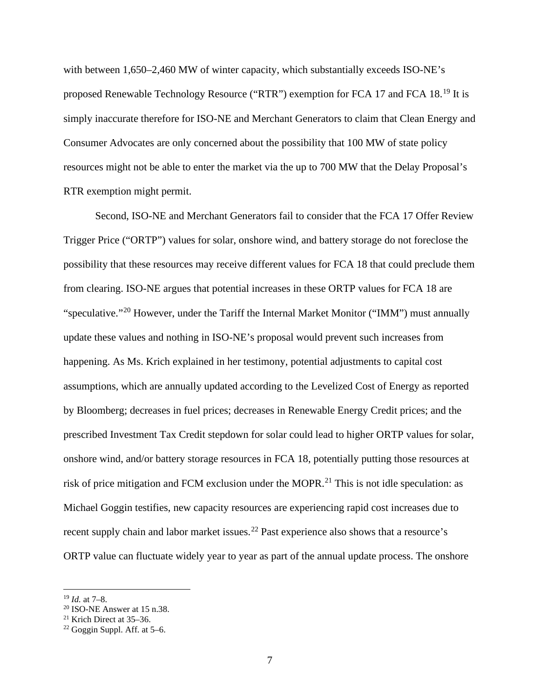with between 1,650–2,460 MW of winter capacity, which substantially exceeds ISO-NE's proposed Renewable Technology Resource ("RTR") exemption for FCA 17 and FCA 18.[19](#page-6-0) It is simply inaccurate therefore for ISO-NE and Merchant Generators to claim that Clean Energy and Consumer Advocates are only concerned about the possibility that 100 MW of state policy resources might not be able to enter the market via the up to 700 MW that the Delay Proposal's RTR exemption might permit.

Second, ISO-NE and Merchant Generators fail to consider that the FCA 17 Offer Review Trigger Price ("ORTP") values for solar, onshore wind, and battery storage do not foreclose the possibility that these resources may receive different values for FCA 18 that could preclude them from clearing. ISO-NE argues that potential increases in these ORTP values for FCA 18 are "speculative."[20](#page-6-1) However, under the Tariff the Internal Market Monitor ("IMM") must annually update these values and nothing in ISO-NE's proposal would prevent such increases from happening. As Ms. Krich explained in her testimony, potential adjustments to capital cost assumptions, which are annually updated according to the Levelized Cost of Energy as reported by Bloomberg; decreases in fuel prices; decreases in Renewable Energy Credit prices; and the prescribed Investment Tax Credit stepdown for solar could lead to higher ORTP values for solar, onshore wind, and/or battery storage resources in FCA 18, potentially putting those resources at risk of price mitigation and FCM exclusion under the MOPR.<sup>[21](#page-6-2)</sup> This is not idle speculation: as Michael Goggin testifies, new capacity resources are experiencing rapid cost increases due to recent supply chain and labor market issues.<sup>[22](#page-6-3)</sup> Past experience also shows that a resource's ORTP value can fluctuate widely year to year as part of the annual update process. The onshore

<span id="page-6-0"></span><sup>19</sup> *Id.* at 7–8.

<span id="page-6-1"></span><sup>&</sup>lt;sup>20</sup> ISO-NE Answer at 15 n.38.<br><sup>21</sup> Krich Direct at 35–36.

<span id="page-6-3"></span><span id="page-6-2"></span> $22$  Goggin Suppl. Aff. at 5–6.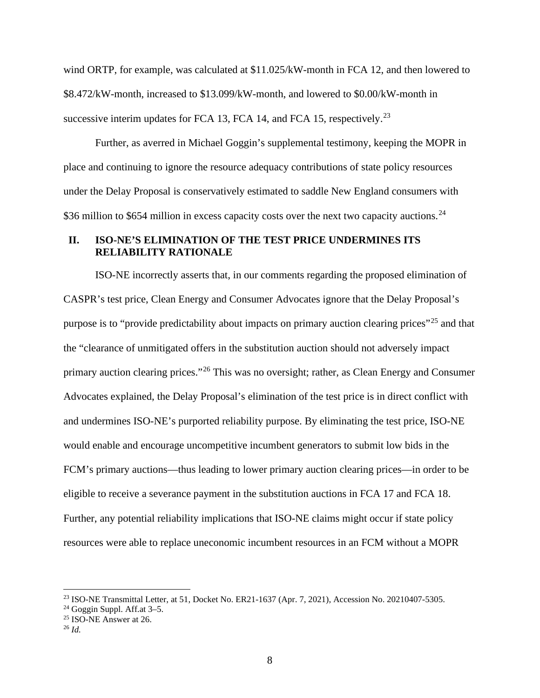wind ORTP, for example, was calculated at \$11.025/kW-month in FCA 12, and then lowered to \$8.472/kW-month, increased to \$13.099/kW-month, and lowered to \$0.00/kW-month in successive interim updates for FCA 13, FCA 14, and FCA 15, respectively.<sup>[23](#page-7-0)</sup>

Further, as averred in Michael Goggin's supplemental testimony, keeping the MOPR in place and continuing to ignore the resource adequacy contributions of state policy resources under the Delay Proposal is conservatively estimated to saddle New England consumers with \$36 million to \$654 million in excess capacity costs over the next two capacity auctions.<sup>[24](#page-7-1)</sup>

## **II. ISO-NE'S ELIMINATION OF THE TEST PRICE UNDERMINES ITS RELIABILITY RATIONALE**

ISO-NE incorrectly asserts that, in our comments regarding the proposed elimination of CASPR's test price, Clean Energy and Consumer Advocates ignore that the Delay Proposal's purpose is to "provide predictability about impacts on primary auction clearing prices"<sup>[25](#page-7-2)</sup> and that the "clearance of unmitigated offers in the substitution auction should not adversely impact primary auction clearing prices."[26](#page-7-3) This was no oversight; rather, as Clean Energy and Consumer Advocates explained, the Delay Proposal's elimination of the test price is in direct conflict with and undermines ISO-NE's purported reliability purpose. By eliminating the test price, ISO-NE would enable and encourage uncompetitive incumbent generators to submit low bids in the FCM's primary auctions—thus leading to lower primary auction clearing prices—in order to be eligible to receive a severance payment in the substitution auctions in FCA 17 and FCA 18. Further, any potential reliability implications that ISO-NE claims might occur if state policy resources were able to replace uneconomic incumbent resources in an FCM without a MOPR

<span id="page-7-1"></span> $24$  Goggin Suppl. Aff.at 3–5.

<span id="page-7-0"></span><sup>23</sup> ISO-NE Transmittal Letter, at 51, Docket No. ER21-1637 (Apr. 7, 2021), Accession No. 20210407-5305.

<span id="page-7-2"></span> $25$  ISO-NE Answer at 26.

<span id="page-7-3"></span><sup>26</sup> *Id.*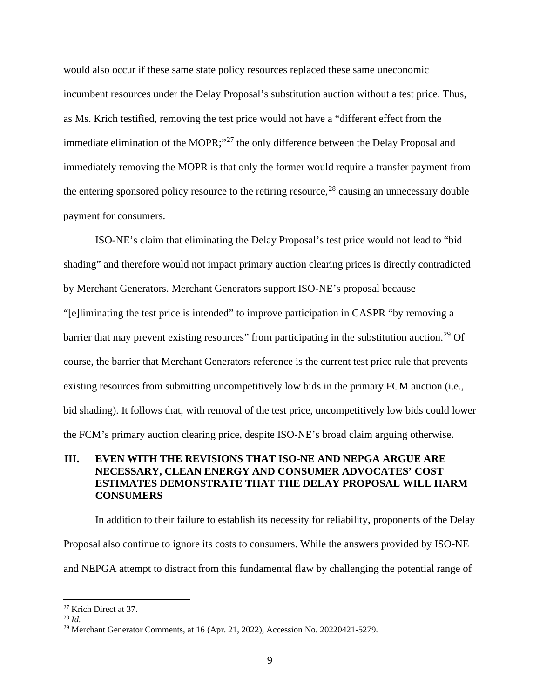would also occur if these same state policy resources replaced these same uneconomic incumbent resources under the Delay Proposal's substitution auction without a test price. Thus, as Ms. Krich testified, removing the test price would not have a "different effect from the immediate elimination of the MOPR;<sup>"[27](#page-8-0)</sup> the only difference between the Delay Proposal and immediately removing the MOPR is that only the former would require a transfer payment from the entering sponsored policy resource to the retiring resource,<sup>[28](#page-8-1)</sup> causing an unnecessary double payment for consumers.

ISO-NE's claim that eliminating the Delay Proposal's test price would not lead to "bid shading" and therefore would not impact primary auction clearing prices is directly contradicted by Merchant Generators. Merchant Generators support ISO-NE's proposal because "[e]liminating the test price is intended" to improve participation in CASPR "by removing a barrier that may prevent existing resources" from participating in the substitution auction.<sup>[29](#page-8-2)</sup> Of course, the barrier that Merchant Generators reference is the current test price rule that prevents existing resources from submitting uncompetitively low bids in the primary FCM auction (i.e., bid shading). It follows that, with removal of the test price, uncompetitively low bids could lower the FCM's primary auction clearing price, despite ISO-NE's broad claim arguing otherwise.

# **III. EVEN WITH THE REVISIONS THAT ISO-NE AND NEPGA ARGUE ARE NECESSARY, CLEAN ENERGY AND CONSUMER ADVOCATES' COST ESTIMATES DEMONSTRATE THAT THE DELAY PROPOSAL WILL HARM CONSUMERS**

In addition to their failure to establish its necessity for reliability, proponents of the Delay Proposal also continue to ignore its costs to consumers. While the answers provided by ISO-NE and NEPGA attempt to distract from this fundamental flaw by challenging the potential range of

<span id="page-8-0"></span><sup>27</sup> Krich Direct at 37.

<span id="page-8-1"></span><sup>28</sup> *Id.*

<span id="page-8-2"></span><sup>29</sup> Merchant Generator Comments, at 16 (Apr. 21, 2022), Accession No. 20220421-5279.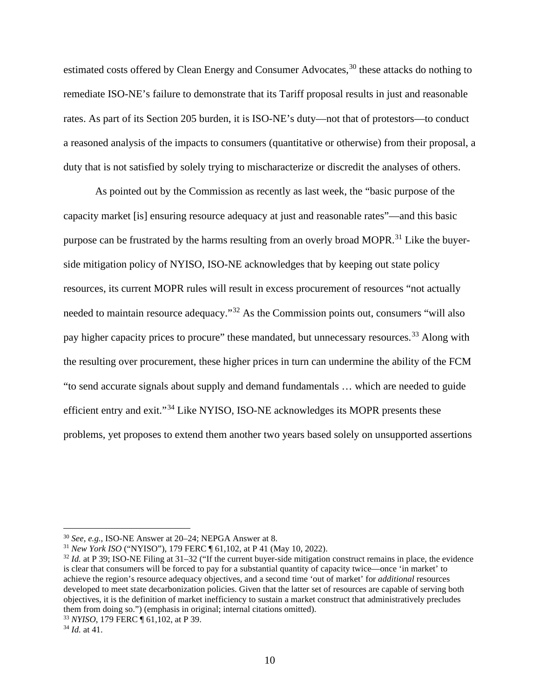estimated costs offered by Clean Energy and Consumer Advocates,<sup>[30](#page-9-0)</sup> these attacks do nothing to remediate ISO-NE's failure to demonstrate that its Tariff proposal results in just and reasonable rates. As part of its Section 205 burden, it is ISO-NE's duty—not that of protestors—to conduct a reasoned analysis of the impacts to consumers (quantitative or otherwise) from their proposal, a duty that is not satisfied by solely trying to mischaracterize or discredit the analyses of others.

As pointed out by the Commission as recently as last week, the "basic purpose of the capacity market [is] ensuring resource adequacy at just and reasonable rates"—and this basic purpose can be frustrated by the harms resulting from an overly broad MOPR.<sup>[31](#page-9-1)</sup> Like the buyerside mitigation policy of NYISO, ISO-NE acknowledges that by keeping out state policy resources, its current MOPR rules will result in excess procurement of resources "not actually needed to maintain resource adequacy."[32](#page-9-2) As the Commission points out, consumers "will also pay higher capacity prices to procure" these mandated, but unnecessary resources.<sup>[33](#page-9-3)</sup> Along with the resulting over procurement, these higher prices in turn can undermine the ability of the FCM "to send accurate signals about supply and demand fundamentals … which are needed to guide efficient entry and exit."[34](#page-9-4) Like NYISO, ISO-NE acknowledges its MOPR presents these problems, yet proposes to extend them another two years based solely on unsupported assertions

<span id="page-9-0"></span><sup>30</sup> *See, e.g.*, ISO-NE Answer at 20–24; NEPGA Answer at 8.

<span id="page-9-1"></span><sup>31</sup> *New York ISO* ("NYISO"), 179 FERC ¶ 61,102, at P 41 (May 10, 2022).

<span id="page-9-2"></span> $32$  *Id.* at P 39; ISO-NE Filing at 31–32 ("If the current buyer-side mitigation construct remains in place, the evidence is clear that consumers will be forced to pay for a substantial quantity of capacity twice—once 'in market' to achieve the region's resource adequacy objectives, and a second time 'out of market' for *additional* resources developed to meet state decarbonization policies. Given that the latter set of resources are capable of serving both objectives, it is the definition of market inefficiency to sustain a market construct that administratively precludes them from doing so.") (emphasis in original; internal citations omitted).

<span id="page-9-3"></span><sup>33</sup> *NYISO*, 179 FERC ¶ 61,102, at P 39.

<span id="page-9-4"></span><sup>34</sup> *Id.* at 41.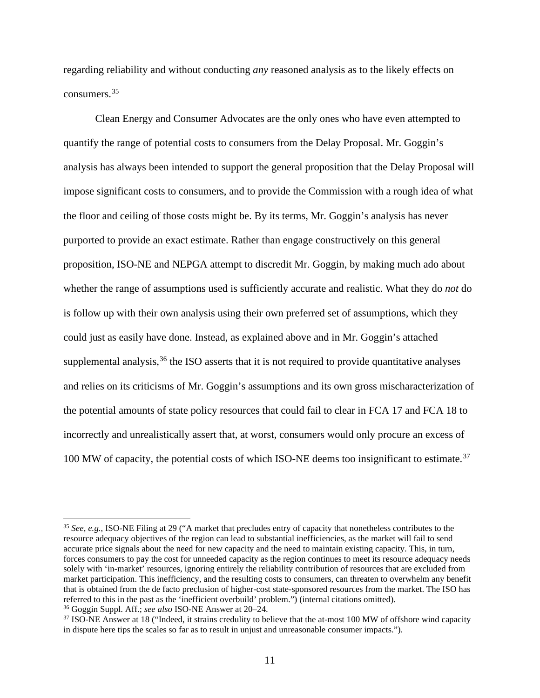regarding reliability and without conducting *any* reasoned analysis as to the likely effects on consumers. [35](#page-10-0)

Clean Energy and Consumer Advocates are the only ones who have even attempted to quantify the range of potential costs to consumers from the Delay Proposal. Mr. Goggin's analysis has always been intended to support the general proposition that the Delay Proposal will impose significant costs to consumers, and to provide the Commission with a rough idea of what the floor and ceiling of those costs might be. By its terms, Mr. Goggin's analysis has never purported to provide an exact estimate. Rather than engage constructively on this general proposition, ISO-NE and NEPGA attempt to discredit Mr. Goggin, by making much ado about whether the range of assumptions used is sufficiently accurate and realistic. What they do *not* do is follow up with their own analysis using their own preferred set of assumptions, which they could just as easily have done. Instead, as explained above and in Mr. Goggin's attached supplemental analysis,  $36$  the ISO asserts that it is not required to provide quantitative analyses and relies on its criticisms of Mr. Goggin's assumptions and its own gross mischaracterization of the potential amounts of state policy resources that could fail to clear in FCA 17 and FCA 18 to incorrectly and unrealistically assert that, at worst, consumers would only procure an excess of 100 MW of capacity, the potential costs of which ISO-NE deems too insignificant to estimate. [37](#page-10-2)

<span id="page-10-0"></span><sup>35</sup> *See, e.g.*, ISO-NE Filing at 29 ("A market that precludes entry of capacity that nonetheless contributes to the resource adequacy objectives of the region can lead to substantial inefficiencies, as the market will fail to send accurate price signals about the need for new capacity and the need to maintain existing capacity. This, in turn, forces consumers to pay the cost for unneeded capacity as the region continues to meet its resource adequacy needs solely with 'in-market' resources, ignoring entirely the reliability contribution of resources that are excluded from market participation. This inefficiency, and the resulting costs to consumers, can threaten to overwhelm any benefit that is obtained from the de facto preclusion of higher-cost state-sponsored resources from the market. The ISO has referred to this in the past as the 'inefficient overbuild' problem.") (internal citations omitted).

<span id="page-10-1"></span><sup>36</sup> Goggin Suppl. Aff.; *see also* ISO-NE Answer at 20–24.

<span id="page-10-2"></span><sup>&</sup>lt;sup>37</sup> ISO-NE Answer at 18 ("Indeed, it strains credulity to believe that the at-most 100 MW of offshore wind capacity in dispute here tips the scales so far as to result in unjust and unreasonable consumer impacts.").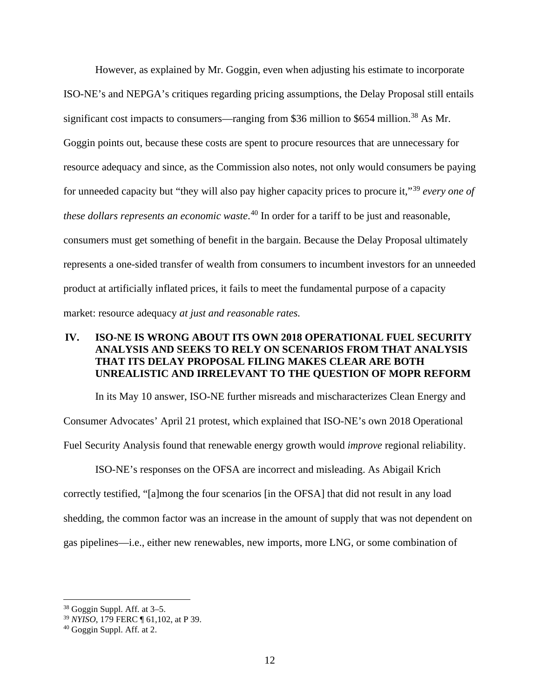However, as explained by Mr. Goggin, even when adjusting his estimate to incorporate ISO-NE's and NEPGA's critiques regarding pricing assumptions, the Delay Proposal still entails significant cost impacts to consumers—ranging from \$36 million to \$654 million.<sup>[38](#page-11-0)</sup> As Mr. Goggin points out, because these costs are spent to procure resources that are unnecessary for resource adequacy and since, as the Commission also notes, not only would consumers be paying for unneeded capacity but "they will also pay higher capacity prices to procure it,"[39](#page-11-1) *every one of these dollars represents an economic waste*. [40](#page-11-2) In order for a tariff to be just and reasonable, consumers must get something of benefit in the bargain. Because the Delay Proposal ultimately represents a one-sided transfer of wealth from consumers to incumbent investors for an unneeded product at artificially inflated prices, it fails to meet the fundamental purpose of a capacity market: resource adequacy *at just and reasonable rates.*

# **IV. ISO-NE IS WRONG ABOUT ITS OWN 2018 OPERATIONAL FUEL SECURITY ANALYSIS AND SEEKS TO RELY ON SCENARIOS FROM THAT ANALYSIS THAT ITS DELAY PROPOSAL FILING MAKES CLEAR ARE BOTH UNREALISTIC AND IRRELEVANT TO THE QUESTION OF MOPR REFORM**

In its May 10 answer, ISO-NE further misreads and mischaracterizes Clean Energy and Consumer Advocates' April 21 protest, which explained that ISO-NE's own 2018 Operational Fuel Security Analysis found that renewable energy growth would *improve* regional reliability.

ISO-NE's responses on the OFSA are incorrect and misleading. As Abigail Krich correctly testified, "[a]mong the four scenarios [in the OFSA] that did not result in any load shedding, the common factor was an increase in the amount of supply that was not dependent on gas pipelines—i.e., either new renewables, new imports, more LNG, or some combination of

<span id="page-11-0"></span><sup>38</sup> Goggin Suppl. Aff. at 3–5.

<span id="page-11-1"></span><sup>39</sup> *NYISO*, 179 FERC ¶ 61,102, at P 39.

<span id="page-11-2"></span><sup>40</sup> Goggin Suppl. Aff. at 2.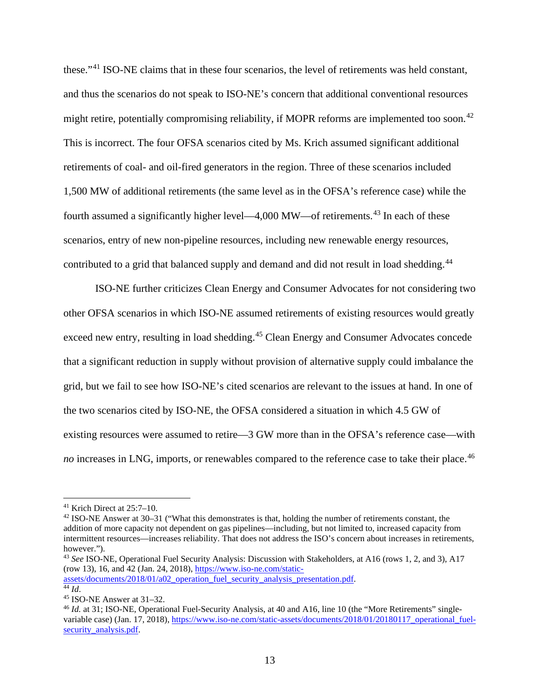these."[41](#page-12-0) ISO-NE claims that in these four scenarios, the level of retirements was held constant, and thus the scenarios do not speak to ISO-NE's concern that additional conventional resources might retire, potentially compromising reliability, if MOPR reforms are implemented too soon.<sup>[42](#page-12-1)</sup> This is incorrect. The four OFSA scenarios cited by Ms. Krich assumed significant additional retirements of coal- and oil-fired generators in the region. Three of these scenarios included 1,500 MW of additional retirements (the same level as in the OFSA's reference case) while the fourth assumed a significantly higher level—4,000 MW—of retirements.<sup>[43](#page-12-2)</sup> In each of these scenarios, entry of new non-pipeline resources, including new renewable energy resources, contributed to a grid that balanced supply and demand and did not result in load shedding.<sup>[44](#page-12-3)</sup>

ISO-NE further criticizes Clean Energy and Consumer Advocates for not considering two other OFSA scenarios in which ISO-NE assumed retirements of existing resources would greatly exceed new entry, resulting in load shedding.<sup>[45](#page-12-4)</sup> Clean Energy and Consumer Advocates concede that a significant reduction in supply without provision of alternative supply could imbalance the grid, but we fail to see how ISO-NE's cited scenarios are relevant to the issues at hand. In one of the two scenarios cited by ISO-NE, the OFSA considered a situation in which 4.5 GW of existing resources were assumed to retire—3 GW more than in the OFSA's reference case—with no increases in LNG, imports, or renewables compared to the reference case to take their place.<sup>[46](#page-12-5)</sup>

<span id="page-12-1"></span><sup>42</sup> ISO-NE Answer at 30–31 ("What this demonstrates is that, holding the number of retirements constant, the addition of more capacity not dependent on gas pipelines—including, but not limited to, increased capacity from intermittent resources—increases reliability. That does not address the ISO's concern about increases in retirements, however.").

<span id="page-12-2"></span><sup>43</sup> *See* ISO-NE, Operational Fuel Security Analysis: Discussion with Stakeholders, at A16 (rows 1, 2, and 3), A17 (row 13), 16, and 42 (Jan. 24, 2018), [https://www.iso-ne.com/static-](https://www.iso-ne.com/static-assets/documents/2018/01/a02_operation_fuel_security_analysis_presentation.pdf)

<span id="page-12-0"></span> $41$  Krich Direct at  $25:7-10$ .

[assets/documents/2018/01/a02\\_operation\\_fuel\\_security\\_analysis\\_presentation.pdf.](https://www.iso-ne.com/static-assets/documents/2018/01/a02_operation_fuel_security_analysis_presentation.pdf) <sup>44</sup> *Id*.

<span id="page-12-4"></span><span id="page-12-3"></span><sup>45</sup> ISO-NE Answer at 31–32.

<span id="page-12-5"></span><sup>&</sup>lt;sup>46</sup> *Id.* at 31; ISO-NE, Operational Fuel-Security Analysis, at 40 and A16, line 10 (the "More Retirements" single-variable case) (Jan. 17, 2018)[, https://www.iso-ne.com/static-assets/documents/2018/01/20180117\\_operational\\_fuel](https://www.iso-ne.com/static-assets/documents/2018/01/20180117_operational_fuel-security_analysis.pdf)[security\\_analysis.pdf.](https://www.iso-ne.com/static-assets/documents/2018/01/20180117_operational_fuel-security_analysis.pdf)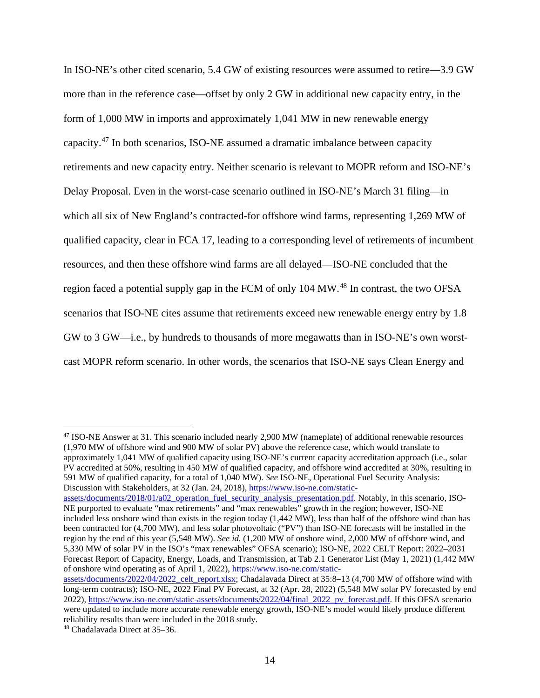In ISO-NE's other cited scenario, 5.4 GW of existing resources were assumed to retire—3.9 GW more than in the reference case—offset by only 2 GW in additional new capacity entry, in the form of 1,000 MW in imports and approximately 1,041 MW in new renewable energy capacity.<sup>[47](#page-13-0)</sup> In both scenarios, ISO-NE assumed a dramatic imbalance between capacity retirements and new capacity entry. Neither scenario is relevant to MOPR reform and ISO-NE's Delay Proposal. Even in the worst-case scenario outlined in ISO-NE's March 31 filing—in which all six of New England's contracted-for offshore wind farms, representing 1,269 MW of qualified capacity, clear in FCA 17, leading to a corresponding level of retirements of incumbent resources, and then these offshore wind farms are all delayed—ISO-NE concluded that the region faced a potential supply gap in the FCM of only 104 MW.<sup>[48](#page-13-1)</sup> In contrast, the two OFSA scenarios that ISO-NE cites assume that retirements exceed new renewable energy entry by 1.8 GW to 3 GW—i.e., by hundreds to thousands of more megawatts than in ISO-NE's own worstcast MOPR reform scenario. In other words, the scenarios that ISO-NE says Clean Energy and

[assets/documents/2018/01/a02\\_operation\\_fuel\\_security\\_analysis\\_presentation.pdf.](https://www.iso-ne.com/static-assets/documents/2018/01/a02_operation_fuel_security_analysis_presentation.pdf) Notably, in this scenario, ISO-NE purported to evaluate "max retirements" and "max renewables" growth in the region; however, ISO-NE included less onshore wind than exists in the region today (1,442 MW), less than half of the offshore wind than has been contracted for (4,700 MW), and less solar photovoltaic ("PV") than ISO-NE forecasts will be installed in the region by the end of this year (5,548 MW). *See id.* (1,200 MW of onshore wind, 2,000 MW of offshore wind, and 5,330 MW of solar PV in the ISO's "max renewables" OFSA scenario); ISO-NE, 2022 CELT Report: 2022–2031 Forecast Report of Capacity, Energy, Loads, and Transmission, at Tab 2.1 Generator List (May 1, 2021) (1,442 MW of onshore wind operating as of April 1, 2022), [https://www.iso-ne.com/static-](https://www.iso-ne.com/static-assets/documents/2022/04/2022_celt_report.xlsx)

<span id="page-13-0"></span><sup>47</sup> ISO-NE Answer at 31. This scenario included nearly 2,900 MW (nameplate) of additional renewable resources (1,970 MW of offshore wind and 900 MW of solar PV) above the reference case, which would translate to approximately 1,041 MW of qualified capacity using ISO-NE's current capacity accreditation approach (i.e., solar PV accredited at 50%, resulting in 450 MW of qualified capacity, and offshore wind accredited at 30%, resulting in 591 MW of qualified capacity, for a total of 1,040 MW). *See* ISO-NE, Operational Fuel Security Analysis: Discussion with Stakeholders, at 32 (Jan. 24, 2018)[, https://www.iso-ne.com/static-](https://www.iso-ne.com/static-assets/documents/2018/01/a02_operation_fuel_security_analysis_presentation.pdf)

[assets/documents/2022/04/2022\\_celt\\_report.xlsx;](https://www.iso-ne.com/static-assets/documents/2022/04/2022_celt_report.xlsx) Chadalavada Direct at 35:8–13 (4,700 MW of offshore wind with long-term contracts); ISO-NE, 2022 Final PV Forecast, at 32 (Apr. 28, 2022) (5,548 MW solar PV forecasted by end 2022), [https://www.iso-ne.com/static-assets/documents/2022/04/final\\_2022\\_pv\\_forecast.pdf.](https://www.iso-ne.com/static-assets/documents/2022/04/final_2022_pv_forecast.pdf) If this OFSA scenario were updated to include more accurate renewable energy growth, ISO-NE's model would likely produce different reliability results than were included in the 2018 study.

<span id="page-13-1"></span><sup>48</sup> Chadalavada Direct at 35–36.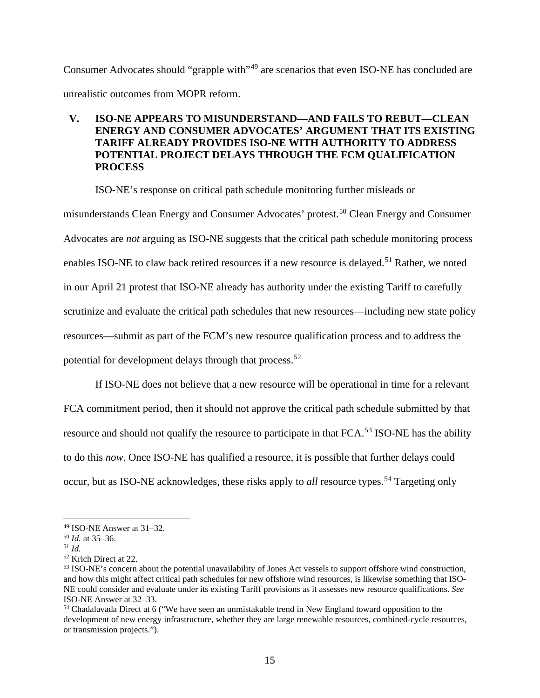Consumer Advocates should "grapple with"[49](#page-14-0) are scenarios that even ISO-NE has concluded are unrealistic outcomes from MOPR reform.

# **V. ISO-NE APPEARS TO MISUNDERSTAND—AND FAILS TO REBUT—CLEAN ENERGY AND CONSUMER ADVOCATES' ARGUMENT THAT ITS EXISTING TARIFF ALREADY PROVIDES ISO-NE WITH AUTHORITY TO ADDRESS POTENTIAL PROJECT DELAYS THROUGH THE FCM QUALIFICATION PROCESS**

ISO-NE's response on critical path schedule monitoring further misleads or misunderstands Clean Energy and Consumer Advocates' protest.<sup>[50](#page-14-1)</sup> Clean Energy and Consumer Advocates are *not* arguing as ISO-NE suggests that the critical path schedule monitoring process enables ISO-NE to claw back retired resources if a new resource is delayed.<sup>[51](#page-14-2)</sup> Rather, we noted in our April 21 protest that ISO-NE already has authority under the existing Tariff to carefully scrutinize and evaluate the critical path schedules that new resources—including new state policy resources—submit as part of the FCM's new resource qualification process and to address the potential for development delays through that process.<sup>[52](#page-14-3)</sup>

If ISO-NE does not believe that a new resource will be operational in time for a relevant FCA commitment period, then it should not approve the critical path schedule submitted by that resource and should not qualify the resource to participate in that FCA.<sup>[53](#page-14-4)</sup> ISO-NE has the ability to do this *now*. Once ISO-NE has qualified a resource, it is possible that further delays could occur, but as ISO-NE acknowledges, these risks apply to *all* resource types.<sup>[54](#page-14-5)</sup> Targeting only

<span id="page-14-0"></span><sup>49</sup> ISO-NE Answer at 31–32.

<span id="page-14-1"></span><sup>50</sup> *Id.* at 35–36.

<span id="page-14-2"></span><sup>51</sup> *Id.*

<span id="page-14-3"></span><sup>52</sup> Krich Direct at 22.

<span id="page-14-4"></span><sup>53</sup> ISO-NE's concern about the potential unavailability of Jones Act vessels to support offshore wind construction, and how this might affect critical path schedules for new offshore wind resources, is likewise something that ISO-NE could consider and evaluate under its existing Tariff provisions as it assesses new resource qualifications. *See*  ISO-NE Answer at 32–33.

<span id="page-14-5"></span><sup>54</sup> Chadalavada Direct at 6 ("We have seen an unmistakable trend in New England toward opposition to the development of new energy infrastructure, whether they are large renewable resources, combined-cycle resources, or transmission projects.").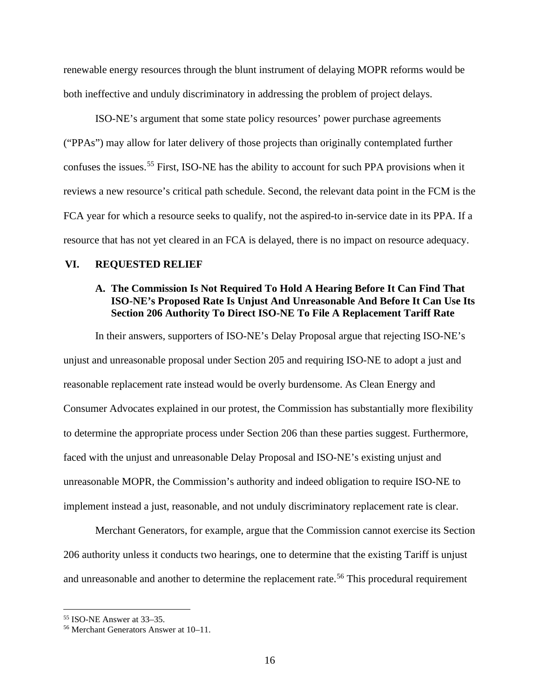renewable energy resources through the blunt instrument of delaying MOPR reforms would be both ineffective and unduly discriminatory in addressing the problem of project delays.

ISO-NE's argument that some state policy resources' power purchase agreements ("PPAs") may allow for later delivery of those projects than originally contemplated further confuses the issues.<sup>[55](#page-15-0)</sup> First, ISO-NE has the ability to account for such PPA provisions when it reviews a new resource's critical path schedule. Second, the relevant data point in the FCM is the FCA year for which a resource seeks to qualify, not the aspired-to in-service date in its PPA. If a resource that has not yet cleared in an FCA is delayed, there is no impact on resource adequacy.

### **VI. REQUESTED RELIEF**

## **A. The Commission Is Not Required To Hold A Hearing Before It Can Find That ISO-NE's Proposed Rate Is Unjust And Unreasonable And Before It Can Use Its Section 206 Authority To Direct ISO-NE To File A Replacement Tariff Rate**

In their answers, supporters of ISO-NE's Delay Proposal argue that rejecting ISO-NE's unjust and unreasonable proposal under Section 205 and requiring ISO-NE to adopt a just and reasonable replacement rate instead would be overly burdensome. As Clean Energy and Consumer Advocates explained in our protest, the Commission has substantially more flexibility to determine the appropriate process under Section 206 than these parties suggest. Furthermore, faced with the unjust and unreasonable Delay Proposal and ISO-NE's existing unjust and unreasonable MOPR, the Commission's authority and indeed obligation to require ISO-NE to implement instead a just, reasonable, and not unduly discriminatory replacement rate is clear.

Merchant Generators, for example, argue that the Commission cannot exercise its Section 206 authority unless it conducts two hearings, one to determine that the existing Tariff is unjust and unreasonable and another to determine the replacement rate.<sup>[56](#page-15-1)</sup> This procedural requirement

<span id="page-15-0"></span><sup>55</sup> ISO-NE Answer at 33–35.

<span id="page-15-1"></span><sup>56</sup> Merchant Generators Answer at 10–11.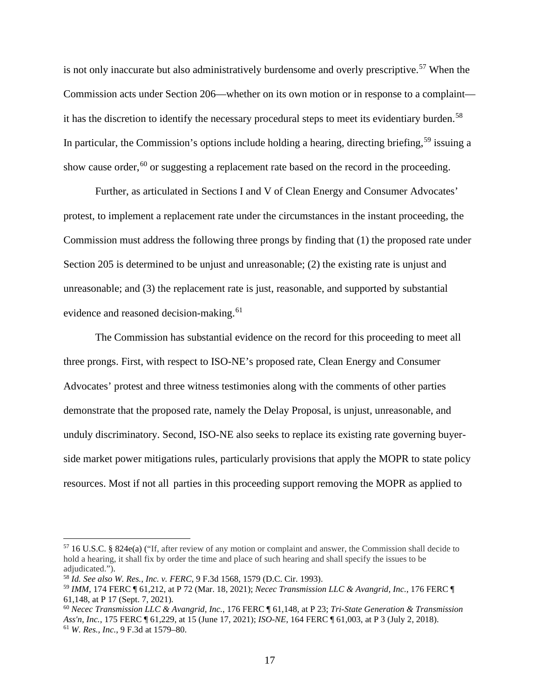is not only inaccurate but also administratively burdensome and overly prescriptive.<sup>[57](#page-16-0)</sup> When the Commission acts under Section 206—whether on its own motion or in response to a complaint— it has the discretion to identify the necessary procedural steps to meet its evidentiary burden.<sup>[58](#page-16-1)</sup> In particular, the Commission's options include holding a hearing, directing briefing,  $59$  issuing a show cause order,  $60$  or suggesting a replacement rate based on the record in the proceeding.

Further, as articulated in Sections I and V of Clean Energy and Consumer Advocates' protest, to implement a replacement rate under the circumstances in the instant proceeding, the Commission must address the following three prongs by finding that (1) the proposed rate under Section 205 is determined to be unjust and unreasonable; (2) the existing rate is unjust and unreasonable; and (3) the replacement rate is just, reasonable, and supported by substantial evidence and reasoned decision-making. [61](#page-16-4)

The Commission has substantial evidence on the record for this proceeding to meet all three prongs. First, with respect to ISO-NE's proposed rate, Clean Energy and Consumer Advocates' protest and three witness testimonies along with the comments of other parties demonstrate that the proposed rate, namely the Delay Proposal, is unjust, unreasonable, and unduly discriminatory. Second, ISO-NE also seeks to replace its existing rate governing buyerside market power mitigations rules, particularly provisions that apply the MOPR to state policy resources. Most if not all parties in this proceeding support removing the MOPR as applied to

<span id="page-16-0"></span><sup>57</sup> 16 U.S.C. § 824e(a) ("If, after review of any motion or complaint and answer, the Commission shall decide to hold a hearing, it shall fix by order the time and place of such hearing and shall specify the issues to be adjudicated.").

<span id="page-16-1"></span><sup>58</sup> *Id. See also W. Res.*, *Inc. v. FERC*, 9 F.3d 1568, 1579 (D.C. Cir. 1993).

<span id="page-16-2"></span><sup>59</sup> *IMM*, 174 FERC ¶ 61,212, at P 72 (Mar. 18, 2021); *Necec Transmission LLC & Avangrid, Inc.*, 176 FERC ¶ 61,148, at P 17 (Sept. 7, 2021).

<span id="page-16-4"></span><span id="page-16-3"></span><sup>60</sup> *Necec Transmission LLC & Avangrid, Inc.*, 176 FERC ¶ 61,148, at P 23; *Tri-State Generation & Transmission Ass'n, Inc.*, 175 FERC ¶ 61,229, at 15 (June 17, 2021); *ISO-NE*, 164 FERC ¶ 61,003, at P 3 (July 2, 2018). <sup>61</sup> *W. Res., Inc.*, 9 F.3d at 1579–80.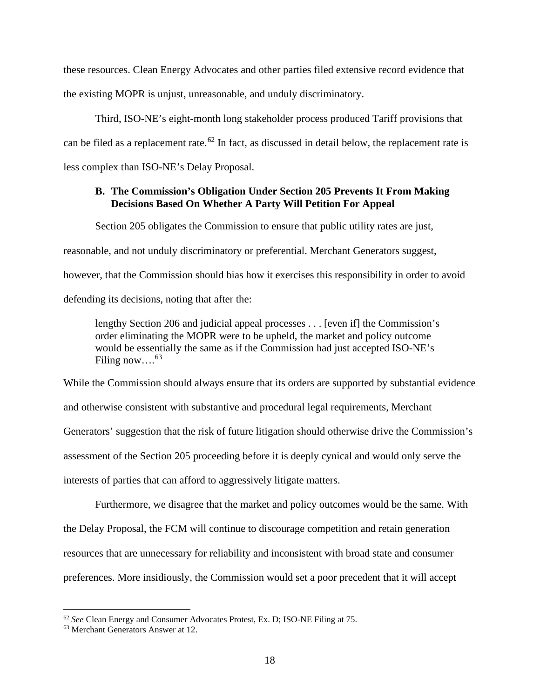these resources. Clean Energy Advocates and other parties filed extensive record evidence that the existing MOPR is unjust, unreasonable, and unduly discriminatory.

Third, ISO-NE's eight-month long stakeholder process produced Tariff provisions that can be filed as a replacement rate.<sup>[62](#page-17-0)</sup> In fact, as discussed in detail below, the replacement rate is less complex than ISO-NE's Delay Proposal.

## **B. The Commission's Obligation Under Section 205 Prevents It From Making Decisions Based On Whether A Party Will Petition For Appeal**

Section 205 obligates the Commission to ensure that public utility rates are just,

reasonable, and not unduly discriminatory or preferential. Merchant Generators suggest,

however, that the Commission should bias how it exercises this responsibility in order to avoid

defending its decisions, noting that after the:

lengthy Section 206 and judicial appeal processes . . . [even if] the Commission's order eliminating the MOPR were to be upheld, the market and policy outcome would be essentially the same as if the Commission had just accepted ISO-NE's Filing now... $^{63}$ 

While the Commission should always ensure that its orders are supported by substantial evidence and otherwise consistent with substantive and procedural legal requirements, Merchant Generators' suggestion that the risk of future litigation should otherwise drive the Commission's assessment of the Section 205 proceeding before it is deeply cynical and would only serve the interests of parties that can afford to aggressively litigate matters.

Furthermore, we disagree that the market and policy outcomes would be the same. With the Delay Proposal, the FCM will continue to discourage competition and retain generation resources that are unnecessary for reliability and inconsistent with broad state and consumer preferences. More insidiously, the Commission would set a poor precedent that it will accept

<span id="page-17-0"></span><sup>62</sup> *See* Clean Energy and Consumer Advocates Protest, Ex. D; ISO-NE Filing at 75.

<span id="page-17-1"></span><sup>63</sup> Merchant Generators Answer at 12.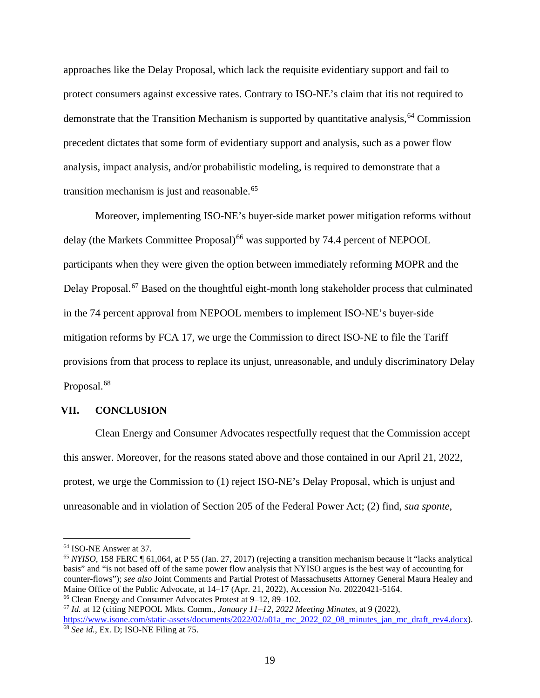approaches like the Delay Proposal, which lack the requisite evidentiary support and fail to protect consumers against excessive rates. Contrary to ISO-NE's claim that itis not required to demonstrate that the Transition Mechanism is supported by quantitative analysis,  $64$  Commission precedent dictates that some form of evidentiary support and analysis, such as a power flow analysis, impact analysis, and/or probabilistic modeling, is required to demonstrate that a transition mechanism is just and reasonable.<sup>[65](#page-18-1)</sup>

Moreover, implementing ISO-NE's buyer-side market power mitigation reforms without delay (the Markets Committee Proposal)<sup>[66](#page-18-2)</sup> was supported by 74.4 percent of NEPOOL participants when they were given the option between immediately reforming MOPR and the Delay Proposal.<sup>[67](#page-18-3)</sup> Based on the thoughtful eight-month long stakeholder process that culminated in the 74 percent approval from NEPOOL members to implement ISO-NE's buyer-side mitigation reforms by FCA 17, we urge the Commission to direct ISO-NE to file the Tariff provisions from that process to replace its unjust, unreasonable, and unduly discriminatory Delay Proposal.<sup>[68](#page-18-4)</sup>

### **VII. CONCLUSION**

Clean Energy and Consumer Advocates respectfully request that the Commission accept this answer. Moreover, for the reasons stated above and those contained in our April 21, 2022, protest, we urge the Commission to (1) reject ISO-NE's Delay Proposal, which is unjust and unreasonable and in violation of Section 205 of the Federal Power Act; (2) find, *sua sponte*,

<span id="page-18-0"></span><sup>64</sup> ISO-NE Answer at 37.

<span id="page-18-1"></span><sup>65</sup> *NYISO*, 158 FERC ¶ 61,064, at P 55 (Jan. 27, 2017) (rejecting a transition mechanism because it "lacks analytical basis" and "is not based off of the same power flow analysis that NYISO argues is the best way of accounting for counter-flows"); *see also* Joint Comments and Partial Protest of Massachusetts Attorney General Maura Healey and Maine Office of the Public Advocate, at 14–17 (Apr. 21, 2022), Accession No. 20220421-5164. <sup>66</sup> Clean Energy and Consumer Advocates Protest at 9–12, 89–102.

<span id="page-18-4"></span><span id="page-18-3"></span><span id="page-18-2"></span><sup>67</sup> *Id.* at 12 (citing NEPOOL Mkts. Comm., *January 11–12, 2022 Meeting Minutes*, at 9 (2022), [https://www.isone.com/static-assets/documents/2022/02/a01a\\_mc\\_2022\\_02\\_08\\_minutes\\_jan\\_mc\\_draft\\_rev4.docx\)](https://www.isone.com/static-assets/documents/2022/02/a01a_mc_2022_02_08_minutes_jan_mc_draft_rev4.docx). <sup>68</sup> *See id.*, Ex. D; ISO-NE Filing at 75.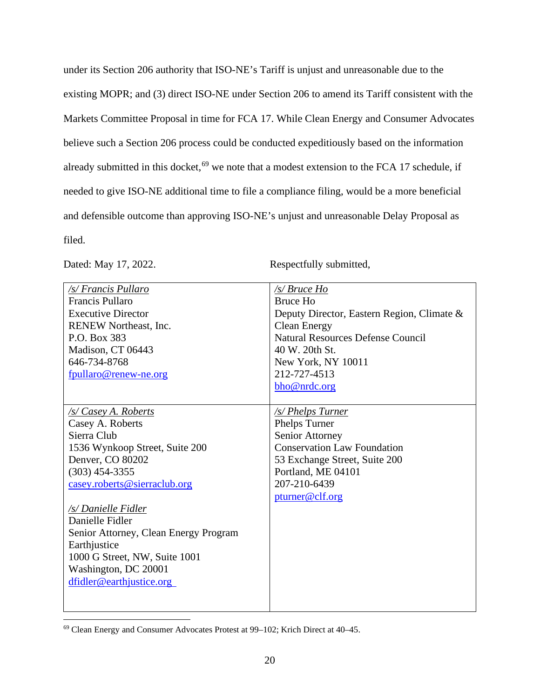under its Section 206 authority that ISO-NE's Tariff is unjust and unreasonable due to the existing MOPR; and (3) direct ISO-NE under Section 206 to amend its Tariff consistent with the Markets Committee Proposal in time for FCA 17. While Clean Energy and Consumer Advocates believe such a Section 206 process could be conducted expeditiously based on the information already submitted in this docket,<sup>[69](#page-19-0)</sup> we note that a modest extension to the FCA 17 schedule, if needed to give ISO-NE additional time to file a compliance filing, would be a more beneficial and defensible outcome than approving ISO-NE's unjust and unreasonable Delay Proposal as filed.

Dated: May 17, 2022. Respectfully submitted,

| /s/ Francis Pullaro                   | /s/ Bruce Ho                               |
|---------------------------------------|--------------------------------------------|
| Francis Pullaro                       | <b>Bruce Ho</b>                            |
| <b>Executive Director</b>             | Deputy Director, Eastern Region, Climate & |
| RENEW Northeast, Inc.                 | <b>Clean Energy</b>                        |
| P.O. Box 383                          | <b>Natural Resources Defense Council</b>   |
| Madison, CT 06443                     | 40 W. 20th St.                             |
| 646-734-8768                          | New York, NY 10011                         |
| fpullaro@renew-ne.org                 | 212-727-4513                               |
|                                       | bho@nrdc.org                               |
|                                       |                                            |
| /s/ Casey A. Roberts                  | <u>/s/ Phelps Turner</u>                   |
| Casey A. Roberts                      | Phelps Turner                              |
| Sierra Club                           | Senior Attorney                            |
| 1536 Wynkoop Street, Suite 200        | <b>Conservation Law Foundation</b>         |
| Denver, CO 80202                      | 53 Exchange Street, Suite 200              |
| $(303)$ 454-3355                      | Portland, ME 04101                         |
| casey.roberts@sierraclub.org          | 207-210-6439                               |
|                                       | pturner@clf.org                            |
| /s/ Danielle Fidler                   |                                            |
| Danielle Fidler                       |                                            |
| Senior Attorney, Clean Energy Program |                                            |
| Earthjustice                          |                                            |
| 1000 G Street, NW, Suite 1001         |                                            |
| Washington, DC 20001                  |                                            |
| dfidler@earthjustice.org              |                                            |
|                                       |                                            |
|                                       |                                            |

<span id="page-19-0"></span><sup>69</sup> Clean Energy and Consumer Advocates Protest at 99–102; Krich Direct at 40–45.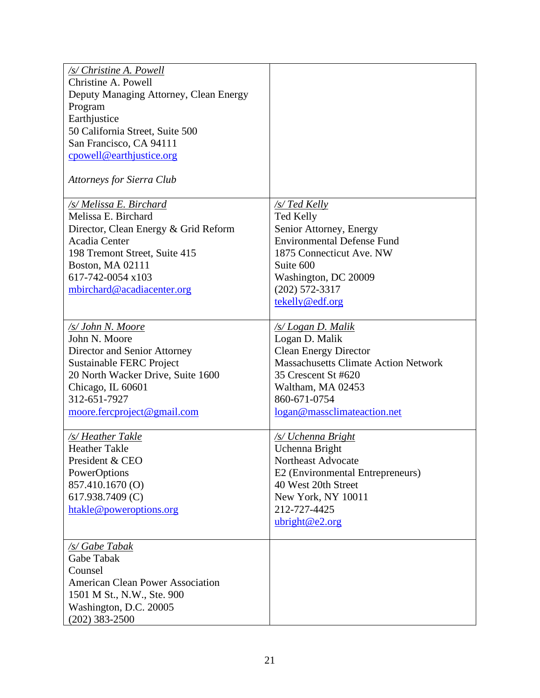| /s/ Christine A. Powell                 |                                             |
|-----------------------------------------|---------------------------------------------|
| Christine A. Powell                     |                                             |
| Deputy Managing Attorney, Clean Energy  |                                             |
| Program                                 |                                             |
| Earthjustice                            |                                             |
| 50 California Street, Suite 500         |                                             |
| San Francisco, CA 94111                 |                                             |
| cpowell@earthjustice.org                |                                             |
|                                         |                                             |
| <b>Attorneys for Sierra Club</b>        |                                             |
| /s/ Melissa E. Birchard                 | /s/ Ted Kelly                               |
| Melissa E. Birchard                     | <b>Ted Kelly</b>                            |
| Director, Clean Energy & Grid Reform    | Senior Attorney, Energy                     |
| Acadia Center                           | <b>Environmental Defense Fund</b>           |
| 198 Tremont Street, Suite 415           | 1875 Connecticut Ave. NW                    |
| <b>Boston, MA 02111</b>                 | Suite 600                                   |
| 617-742-0054 x103                       | Washington, DC 20009                        |
| mbirchard@acadiacenter.org              | $(202)$ 572-3317                            |
|                                         | tekelly@edf.org                             |
|                                         |                                             |
| /s/ John N. Moore                       | /s/ Logan D. Malik                          |
| John N. Moore                           | Logan D. Malik                              |
| Director and Senior Attorney            | <b>Clean Energy Director</b>                |
| <b>Sustainable FERC Project</b>         | <b>Massachusetts Climate Action Network</b> |
| 20 North Wacker Drive, Suite 1600       | 35 Crescent St #620                         |
| Chicago, IL 60601                       | Waltham, MA 02453                           |
| 312-651-7927                            | 860-671-0754                                |
| moore.fercproject@gmail.com             | logan@massclimateaction.net                 |
|                                         |                                             |
| /s/ Heather Takle                       | /s/ Uchenna Bright                          |
| <b>Heather Takle</b>                    | Uchenna Bright                              |
| President & CEO                         | Northeast Advocate                          |
| PowerOptions                            | E2 (Environmental Entrepreneurs)            |
| 857.410.1670 (O)                        | 40 West 20th Street                         |
| 617.938.7409 (C)                        | New York, NY 10011                          |
| htakle@poweroptions.org                 | 212-727-4425                                |
|                                         | ubright@e2.org                              |
| /s/ Gabe Tabak                          |                                             |
| Gabe Tabak                              |                                             |
| Counsel                                 |                                             |
| <b>American Clean Power Association</b> |                                             |
| 1501 M St., N.W., Ste. 900              |                                             |
| Washington, D.C. 20005                  |                                             |
| $(202)$ 383-2500                        |                                             |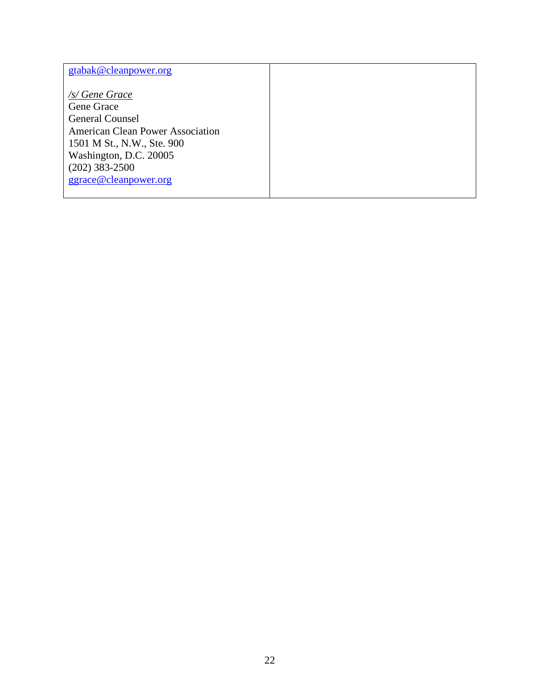| gtabak@cleanpower.org                   |  |
|-----------------------------------------|--|
|                                         |  |
| /s/ Gene Grace                          |  |
| Gene Grace                              |  |
| <b>General Counsel</b>                  |  |
| <b>American Clean Power Association</b> |  |
| 1501 M St., N.W., Ste. 900              |  |
| Washington, D.C. 20005                  |  |
| $(202)$ 383-2500                        |  |
| ggrace@cleanpower.org                   |  |
|                                         |  |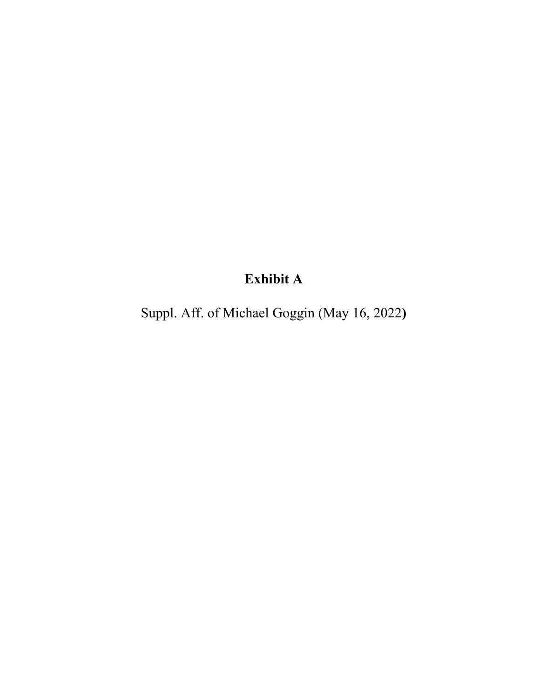# **Exhibit A**

Suppl. Aff. of Michael Goggin (May 16, 2022**)**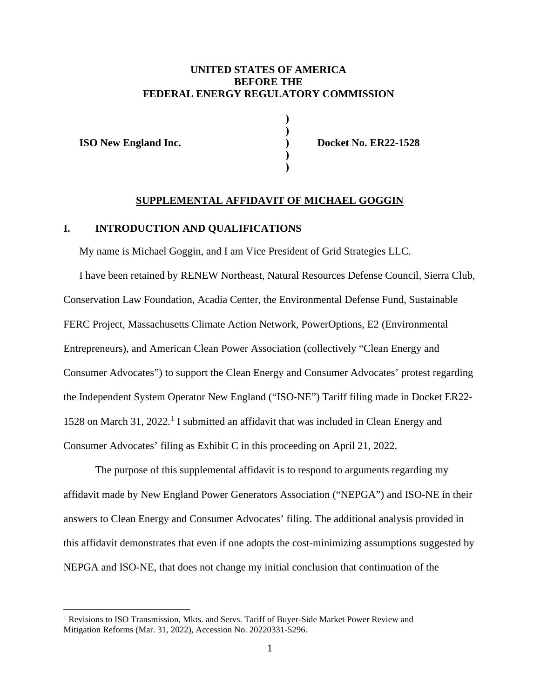## **UNITED STATES OF AMERICA BEFORE THE FEDERAL ENERGY REGULATORY COMMISSION**

**) )**

> **) )**

**ISO New England Inc. ) Docket No. ER22-1528**

### **SUPPLEMENTAL AFFIDAVIT OF MICHAEL GOGGIN**

### **I. INTRODUCTION AND QUALIFICATIONS**

My name is Michael Goggin, and I am Vice President of Grid Strategies LLC.

I have been retained by RENEW Northeast, Natural Resources Defense Council, Sierra Club, Conservation Law Foundation, Acadia Center, the Environmental Defense Fund, Sustainable FERC Project, Massachusetts Climate Action Network, PowerOptions, E2 (Environmental Entrepreneurs), and American Clean Power Association (collectively "Clean Energy and Consumer Advocates") to support the Clean Energy and Consumer Advocates' protest regarding the Independent System Operator New England ("ISO-NE") Tariff filing made in Docket ER22- 1528 on March 31, 2022. [1](#page-23-0) I submitted an affidavit that was included in Clean Energy and Consumer Advocates' filing as Exhibit C in this proceeding on April 21, 2022.

The purpose of this supplemental affidavit is to respond to arguments regarding my affidavit made by New England Power Generators Association ("NEPGA") and ISO-NE in their answers to Clean Energy and Consumer Advocates' filing. The additional analysis provided in this affidavit demonstrates that even if one adopts the cost-minimizing assumptions suggested by NEPGA and ISO-NE, that does not change my initial conclusion that continuation of the

<span id="page-23-0"></span><sup>&</sup>lt;sup>1</sup> Revisions to ISO Transmission, Mkts. and Servs. Tariff of Buyer-Side Market Power Review and Mitigation Reforms (Mar. 31, 2022), Accession No. 20220331-5296.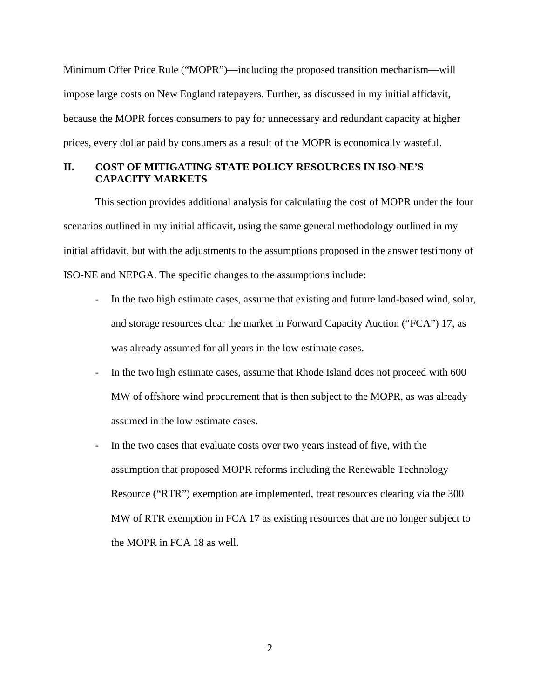Minimum Offer Price Rule ("MOPR")—including the proposed transition mechanism—will impose large costs on New England ratepayers. Further, as discussed in my initial affidavit, because the MOPR forces consumers to pay for unnecessary and redundant capacity at higher prices, every dollar paid by consumers as a result of the MOPR is economically wasteful.

# **II. COST OF MITIGATING STATE POLICY RESOURCES IN ISO-NE'S CAPACITY MARKETS**

This section provides additional analysis for calculating the cost of MOPR under the four scenarios outlined in my initial affidavit, using the same general methodology outlined in my initial affidavit, but with the adjustments to the assumptions proposed in the answer testimony of ISO-NE and NEPGA. The specific changes to the assumptions include:

- In the two high estimate cases, assume that existing and future land-based wind, solar, and storage resources clear the market in Forward Capacity Auction ("FCA") 17, as was already assumed for all years in the low estimate cases.
- In the two high estimate cases, assume that Rhode Island does not proceed with 600 MW of offshore wind procurement that is then subject to the MOPR, as was already assumed in the low estimate cases.
- In the two cases that evaluate costs over two years instead of five, with the assumption that proposed MOPR reforms including the Renewable Technology Resource ("RTR") exemption are implemented, treat resources clearing via the 300 MW of RTR exemption in FCA 17 as existing resources that are no longer subject to the MOPR in FCA 18 as well.

2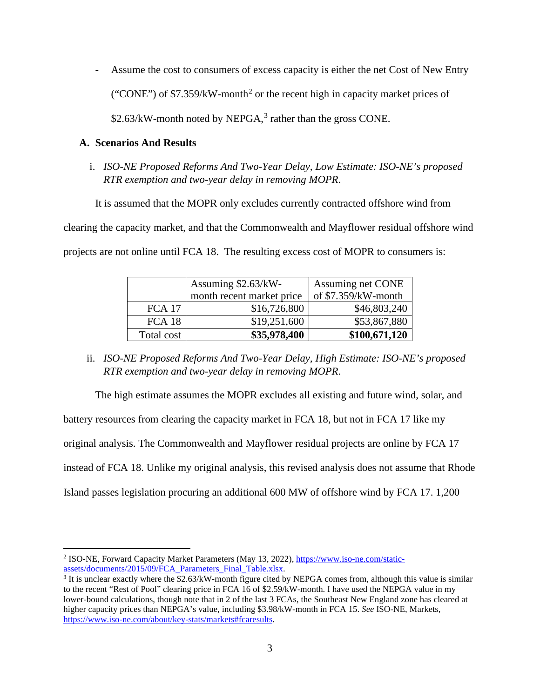- Assume the cost to consumers of excess capacity is either the net Cost of New Entry ("CONE") of  $$7.359/kW$ -month<sup>[2](#page-25-0)</sup> or the recent high in capacity market prices of  $$2.63/kW$  $$2.63/kW$  $$2.63/kW$ -month noted by NEPGA,<sup>3</sup> rather than the gross CONE.

## **A. Scenarios And Results**

i. *ISO-NE Proposed Reforms And Two-Year Delay, Low Estimate: ISO-NE's proposed RTR exemption and two-year delay in removing MOPR*.

It is assumed that the MOPR only excludes currently contracted offshore wind from

clearing the capacity market, and that the Commonwealth and Mayflower residual offshore wind projects are not online until FCA 18. The resulting excess cost of MOPR to consumers is:

|               | Assuming $$2.63/kW$ -     | Assuming net CONE   |
|---------------|---------------------------|---------------------|
|               | month recent market price | of \$7.359/kW-month |
| <b>FCA 17</b> | \$16,726,800              | \$46,803,240        |
| FCA 18        | \$19,251,600              | \$53,867,880        |
| Total cost    | \$35,978,400              | \$100,671,120       |

ii. *ISO-NE Proposed Reforms And Two-Year Delay, High Estimate: ISO-NE's proposed RTR exemption and two-year delay in removing MOPR*.

The high estimate assumes the MOPR excludes all existing and future wind, solar, and

battery resources from clearing the capacity market in FCA 18, but not in FCA 17 like my

original analysis. The Commonwealth and Mayflower residual projects are online by FCA 17

instead of FCA 18. Unlike my original analysis, this revised analysis does not assume that Rhode

Island passes legislation procuring an additional 600 MW of offshore wind by FCA 17. 1,200

<span id="page-25-0"></span><sup>2</sup> ISO-NE, Forward Capacity Market Parameters (May 13, 2022)[, https://www.iso-ne.com/static](https://www.iso-ne.com/static-assets/documents/2015/09/FCA_Parameters_Final_Table.xlsx)[assets/documents/2015/09/FCA\\_Parameters\\_Final\\_Table.xlsx.](https://www.iso-ne.com/static-assets/documents/2015/09/FCA_Parameters_Final_Table.xlsx)

<span id="page-25-1"></span> $\frac{3}{3}$  It is unclear exactly where the \$2.63/kW-month figure cited by NEPGA comes from, although this value is similar to the recent "Rest of Pool" clearing price in FCA 16 of \$2.59/kW-month. I have used the NEPGA value in my lower-bound calculations, though note that in 2 of the last 3 FCAs, the Southeast New England zone has cleared at higher capacity prices than NEPGA's value, including \$3.98/kW-month in FCA 15. *See* ISO-NE, Markets, [https://www.iso-ne.com/about/key-stats/markets#fcaresults.](https://urldefense.com/v3/__https:/nam04.safelinks.protection.outlook.com/?url=https*3A*2F*2Fwww.iso-ne.com*2Fabout*2Fkey-stats*2Fmarkets*23fcaresults&data=05*7C01*7Cdfidler*40earthjustice.org*7C0b10fdbd461b44c5cf8608da34db35fb*7Cadedb458e8e34c4e9bedfa792af66cb6*7C0*7C0*7C637880413387063972*7CUnknown*7CTWFpbGZsb3d8eyJWIjoiMC4wLjAwMDAiLCJQIjoiV2luMzIiLCJBTiI6Ik1haWwiLCJXVCI6Mn0*3D*7C3000*7C*7C*7C&sdata=Jc4Ohm9nLMkpTMJtcDJMZ193K5PFFtoJSMLNI9a2hRU*3D&reserved=0__;JSUlJSUlJSUlJSUlJSUlJSUlJSUlJSU!!NO21cQ!FFGUDxFAl0LXH8DJPbhwOE3H148ZFPQU0J6VT0CuHhKB09VJiQeCxyD-en-wTEjQhYbeOicZJgb3Yn0T$)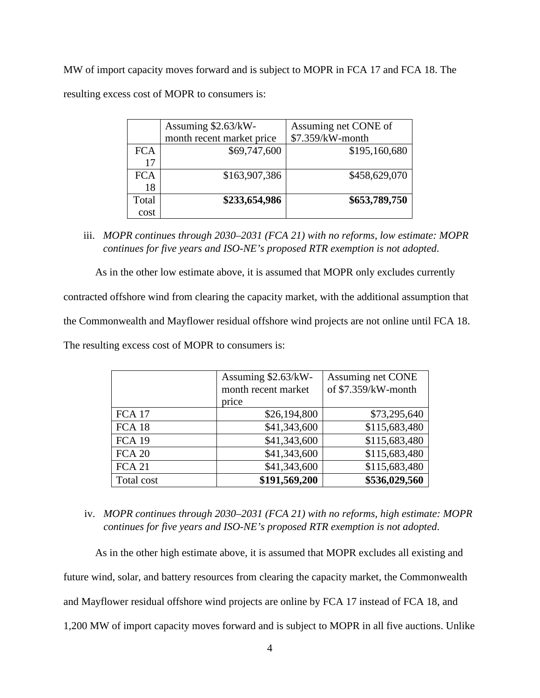MW of import capacity moves forward and is subject to MOPR in FCA 17 and FCA 18. The resulting excess cost of MOPR to consumers is:

|            | Assuming \$2.63/kW-       | Assuming net CONE of |
|------------|---------------------------|----------------------|
|            | month recent market price | \$7.359/kW-month     |
| <b>FCA</b> | \$69,747,600              | \$195,160,680        |
| 17         |                           |                      |
| <b>FCA</b> | \$163,907,386             | \$458,629,070        |
| 18         |                           |                      |
| Total      | \$233,654,986             | \$653,789,750        |
| cost       |                           |                      |

iii. *MOPR continues through 2030–2031 (FCA 21) with no reforms, low estimate: MOPR continues for five years and ISO-NE's proposed RTR exemption is not adopted*.

As in the other low estimate above, it is assumed that MOPR only excludes currently

contracted offshore wind from clearing the capacity market, with the additional assumption that

the Commonwealth and Mayflower residual offshore wind projects are not online until FCA 18.

The resulting excess cost of MOPR to consumers is:

|               | Assuming \$2.63/kW-<br>month recent market<br>price | Assuming net CONE<br>of \$7.359/kW-month |
|---------------|-----------------------------------------------------|------------------------------------------|
| <b>FCA 17</b> | \$26,194,800                                        | \$73,295,640                             |
| <b>FCA 18</b> | \$41,343,600                                        | \$115,683,480                            |
| <b>FCA 19</b> | \$41,343,600                                        | \$115,683,480                            |
| <b>FCA 20</b> | \$41,343,600                                        | \$115,683,480                            |
| <b>FCA 21</b> | \$41,343,600                                        | \$115,683,480                            |
| Total cost    | \$191,569,200                                       | \$536,029,560                            |

iv. *MOPR continues through 2030–2031 (FCA 21) with no reforms, high estimate: MOPR continues for five years and ISO-NE's proposed RTR exemption is not adopted*.

As in the other high estimate above, it is assumed that MOPR excludes all existing and future wind, solar, and battery resources from clearing the capacity market, the Commonwealth and Mayflower residual offshore wind projects are online by FCA 17 instead of FCA 18, and

1,200 MW of import capacity moves forward and is subject to MOPR in all five auctions. Unlike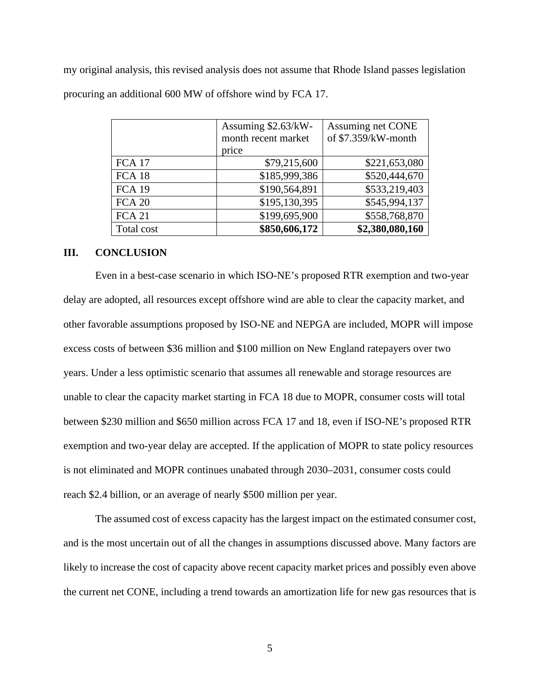my original analysis, this revised analysis does not assume that Rhode Island passes legislation procuring an additional 600 MW of offshore wind by FCA 17.

|               | Assuming \$2.63/kW- | Assuming net CONE   |
|---------------|---------------------|---------------------|
|               | month recent market | of \$7.359/kW-month |
|               | price               |                     |
| <b>FCA 17</b> | \$79,215,600        | \$221,653,080       |
| <b>FCA 18</b> | \$185,999,386       | \$520,444,670       |
| <b>FCA 19</b> | \$190,564,891       | \$533,219,403       |
| <b>FCA 20</b> | \$195,130,395       | \$545,994,137       |
| <b>FCA 21</b> | \$199,695,900       | \$558,768,870       |
| Total cost    | \$850,606,172       | \$2,380,080,160     |

### **III. CONCLUSION**

Even in a best-case scenario in which ISO-NE's proposed RTR exemption and two-year delay are adopted, all resources except offshore wind are able to clear the capacity market, and other favorable assumptions proposed by ISO-NE and NEPGA are included, MOPR will impose excess costs of between \$36 million and \$100 million on New England ratepayers over two years. Under a less optimistic scenario that assumes all renewable and storage resources are unable to clear the capacity market starting in FCA 18 due to MOPR, consumer costs will total between \$230 million and \$650 million across FCA 17 and 18, even if ISO-NE's proposed RTR exemption and two-year delay are accepted. If the application of MOPR to state policy resources is not eliminated and MOPR continues unabated through 2030–2031, consumer costs could reach \$2.4 billion, or an average of nearly \$500 million per year.

The assumed cost of excess capacity has the largest impact on the estimated consumer cost, and is the most uncertain out of all the changes in assumptions discussed above. Many factors are likely to increase the cost of capacity above recent capacity market prices and possibly even above the current net CONE, including a trend towards an amortization life for new gas resources that is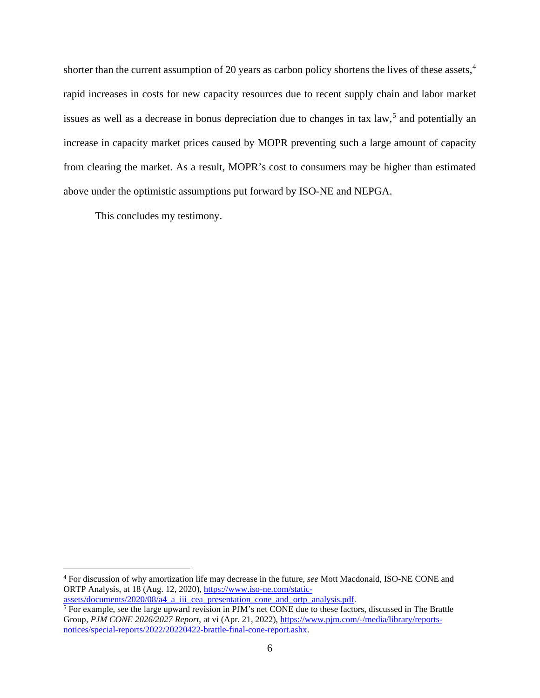shorter than the current assumption of 20 years as carbon policy shortens the lives of these assets,<sup>[4](#page-28-0)</sup> rapid increases in costs for new capacity resources due to recent supply chain and labor market issues as well as a decrease in bonus depreciation due to changes in tax law,<sup>[5](#page-28-1)</sup> and potentially an increase in capacity market prices caused by MOPR preventing such a large amount of capacity from clearing the market. As a result, MOPR's cost to consumers may be higher than estimated above under the optimistic assumptions put forward by ISO-NE and NEPGA.

This concludes my testimony.

<span id="page-28-0"></span><sup>4</sup> For discussion of why amortization life may decrease in the future, *see* Mott Macdonald, ISO-NE CONE and ORTP Analysis, at 18 (Aug. 12, 2020), [https://www.iso-ne.com/static-](https://www.iso-ne.com/static-assets/documents/2020/08/a4_a_iii_cea_presentation_cone_and_ortp_analysis.pdf)

[assets/documents/2020/08/a4\\_a\\_iii\\_cea\\_presentation\\_cone\\_and\\_ortp\\_analysis.pdf.](https://www.iso-ne.com/static-assets/documents/2020/08/a4_a_iii_cea_presentation_cone_and_ortp_analysis.pdf)

<span id="page-28-1"></span> $\frac{5}{3}$  For example, see the large upward revision in PJM's net CONE due to these factors, discussed in The Brattle Group, *PJM CONE 2026/2027 Report*, at vi (Apr. 21, 2022), [https://www.pjm.com/-/media/library/reports](https://www.pjm.com/-/media/library/reports-notices/special-reports/2022/20220422-brattle-final-cone-report.ashx)[notices/special-reports/2022/20220422-brattle-final-cone-report.ashx.](https://www.pjm.com/-/media/library/reports-notices/special-reports/2022/20220422-brattle-final-cone-report.ashx)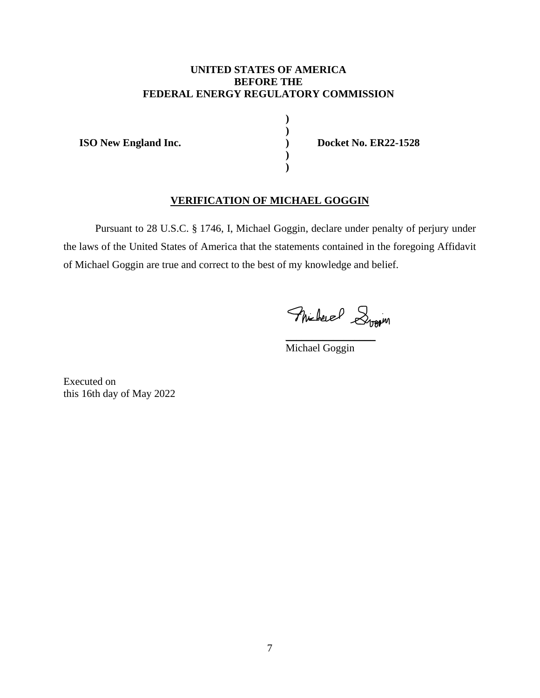## **UNITED STATES OF AMERICA BEFORE THE FEDERAL ENERGY REGULATORY COMMISSION**

**) )**

**) )**

**ISO New England Inc. ) Docket No. ER22-1528** 

# **VERIFICATION OF MICHAEL GOGGIN**

Pursuant to 28 U.S.C. § 1746, I, Michael Goggin, declare under penalty of perjury under the laws of the United States of America that the statements contained in the foregoing Affidavit of Michael Goggin are true and correct to the best of my knowledge and belief.

Flucheuel Stream

Michael Goggin

\_\_\_\_\_\_\_\_\_\_\_\_\_\_\_\_\_

Executed on this 16th day of May 2022